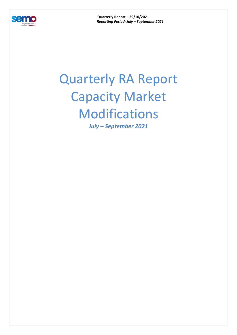

**Quarterly Report – 29/10/2021**  *Reporting Period: July – September 2021* 

## Quarterly RA Report Capacity Market Modifications

*July – September 2021*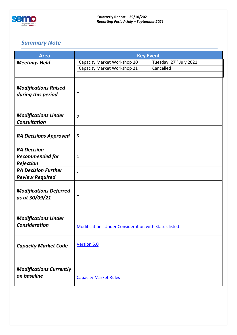

## *Summary Note*

| <b>Area</b>                                        | <b>Key Event</b>                                            |                                     |  |
|----------------------------------------------------|-------------------------------------------------------------|-------------------------------------|--|
| <b>Meetings Held</b>                               | Capacity Market Workshop 20                                 | Tuesday, 27 <sup>th</sup> July 2021 |  |
|                                                    | Capacity Market Workshop 21                                 | Cancelled                           |  |
|                                                    |                                                             |                                     |  |
| <b>Modifications Raised</b><br>during this period  | $\mathbf 1$                                                 |                                     |  |
| <b>Modifications Under</b><br><b>Consultation</b>  | $\overline{2}$                                              |                                     |  |
| <b>RA Decisions Approved</b>                       | 5                                                           |                                     |  |
| <b>RA Decision</b>                                 |                                                             |                                     |  |
| <b>Recommended for</b>                             | $\mathbf{1}$                                                |                                     |  |
| <b>Rejection</b>                                   |                                                             |                                     |  |
| <b>RA Decision Further</b>                         | 1                                                           |                                     |  |
| <b>Review Required</b>                             |                                                             |                                     |  |
| <b>Modifications Deferred</b><br>as at 30/09/21    | $\mathbf 1$                                                 |                                     |  |
| <b>Modifications Under</b><br><b>Consideration</b> | <b>Modifications Under Consideration with Status listed</b> |                                     |  |
| <b>Capacity Market Code</b>                        | <b>Version 5.0</b>                                          |                                     |  |
| <b>Modifications Currently</b><br>on baseline      | <b>Capacity Market Rules</b>                                |                                     |  |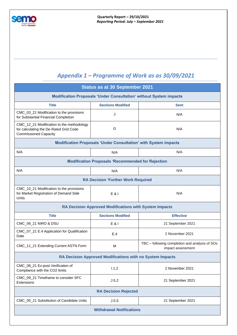

## *Appendix 1 – Programme of Work as as 30/09/2021*

| <b>Status as at 30 September 2021</b>                                                                               |                          |                                                                     |  |  |  |
|---------------------------------------------------------------------------------------------------------------------|--------------------------|---------------------------------------------------------------------|--|--|--|
| <b>Modification Proposals 'Under Consultation' without System impacts</b>                                           |                          |                                                                     |  |  |  |
| <b>Title</b>                                                                                                        | <b>Sections Modified</b> | <b>Sent</b>                                                         |  |  |  |
| CMC_03_21 Modification to the provisions<br>for Substantial Financial Completion                                    | J                        | N/A                                                                 |  |  |  |
| CMC_12_21 Modification to the methodology<br>for calculating the De-Rated Grid Code<br><b>Commissioned Capacity</b> | G                        | N/A                                                                 |  |  |  |
| <b>Modification Proposals 'Under Consultation' with System impacts</b>                                              |                          |                                                                     |  |  |  |
| N/A                                                                                                                 | N/A                      | N/A                                                                 |  |  |  |
| <b>Modification Proposals 'Recommended for Rejection</b>                                                            |                          |                                                                     |  |  |  |
| N/A                                                                                                                 | N/A                      | N/A                                                                 |  |  |  |
| <b>RA Decision 'Further Work Required</b>                                                                           |                          |                                                                     |  |  |  |
| CMC_10_21 Modification to the provisions<br>for Market Registration of Demand Side<br>Units                         | E & 1                    | N/A                                                                 |  |  |  |
| <b>RA Decision Approved Modifications with System Impacts</b>                                                       |                          |                                                                     |  |  |  |
| <b>Title</b>                                                                                                        | <b>Sections Modified</b> | <b>Effective</b>                                                    |  |  |  |
| CMC_06_21 NIRO & DSU                                                                                                | E & I                    | 21 September 2021                                                   |  |  |  |
| CMC_07_21 E.4 Application for Qualification<br>Date                                                                 | E.4                      | 2 November 2021                                                     |  |  |  |
| CMC_11_21 Extending Current ASTN Form                                                                               | M                        | TBC - following completion and analysis of SOs<br>impact assessment |  |  |  |
| RA Decision Approved Modifications with no System Impacts                                                           |                          |                                                                     |  |  |  |
| CMC_08_21 Ex-post Verification of<br>Compliance with the CO2 limits                                                 | 1.1.2                    | 2 November 2021                                                     |  |  |  |
| CMC_09_21 Timeframe to consider SFC<br>Extensions                                                                   | J.5.2                    | 21 September 2021                                                   |  |  |  |
| <b>RA Decision Rejected</b>                                                                                         |                          |                                                                     |  |  |  |
| CMC_05_21 Substitution of Candidate Units                                                                           | J.5.5                    | 21 September 2021                                                   |  |  |  |
| <b>Withdrawal Notifications</b>                                                                                     |                          |                                                                     |  |  |  |
|                                                                                                                     |                          |                                                                     |  |  |  |